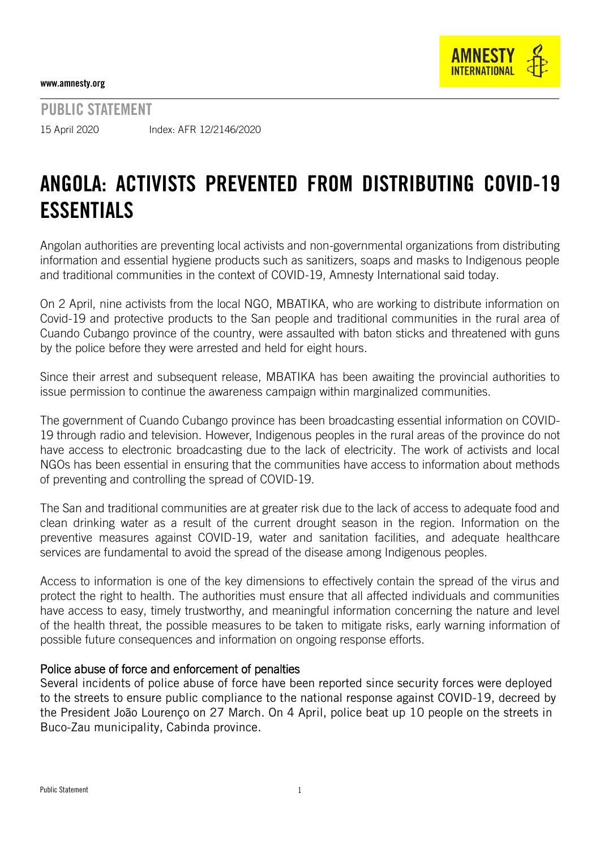

PUBLIC STATEMENT 15 April 2020 Index: AFR 12/2146/2020

## ANGOLA: ACTIVISTS PREVENTED FROM DISTRIBUTING COVID-19 ESSENTIALS

Angolan authorities are preventing local activists and non-governmental organizations from distributing information and essential hygiene products such as sanitizers, soaps and masks to Indigenous people and traditional communities in the context of COVID-19, Amnesty International said today.

On 2 April, nine activists from the local NGO, MBATIKA, who are working to distribute information on Covid-19 and protective products to the San people and traditional communities in the rural area of Cuando Cubango province of the country, were assaulted with baton sticks and threatened with guns by the police before they were arrested and held for eight hours.

Since their arrest and subsequent release, MBATIKA has been awaiting the provincial authorities to issue permission to continue the awareness campaign within marginalized communities.

The government of Cuando Cubango province has been broadcasting essential information on COVID-19 through radio and television. However, Indigenous peoples in the rural areas of the province do not have access to electronic broadcasting due to the lack of electricity. The work of activists and local NGOs has been essential in ensuring that the communities have access to information about methods of preventing and controlling the spread of COVID-19.

The San and traditional communities are at greater risk due to the lack of access to adequate food and clean drinking water as a result of the current drought season in the region. Information on the preventive measures against COVID-19, water and sanitation facilities, and adequate healthcare services are fundamental to avoid the spread of the disease among Indigenous peoples.

Access to information is one of the key dimensions to effectively contain the spread of the virus and protect the right to health. The authorities must ensure that all affected individuals and communities have access to easy, timely trustworthy, and meaningful information concerning the nature and level of the health threat, the possible measures to be taken to mitigate risks, early warning information of possible future consequences and information on ongoing response efforts.

## Police abuse of force and enforcement of penalties

Several incidents of police abuse of force have been reported since security forces were deployed to the streets to ensure public compliance to the national response against COVID-19, decreed by the President João Lourenço on 27 March. On 4 April, police beat up 10 people on the streets in Buco-Zau municipality, Cabinda province.